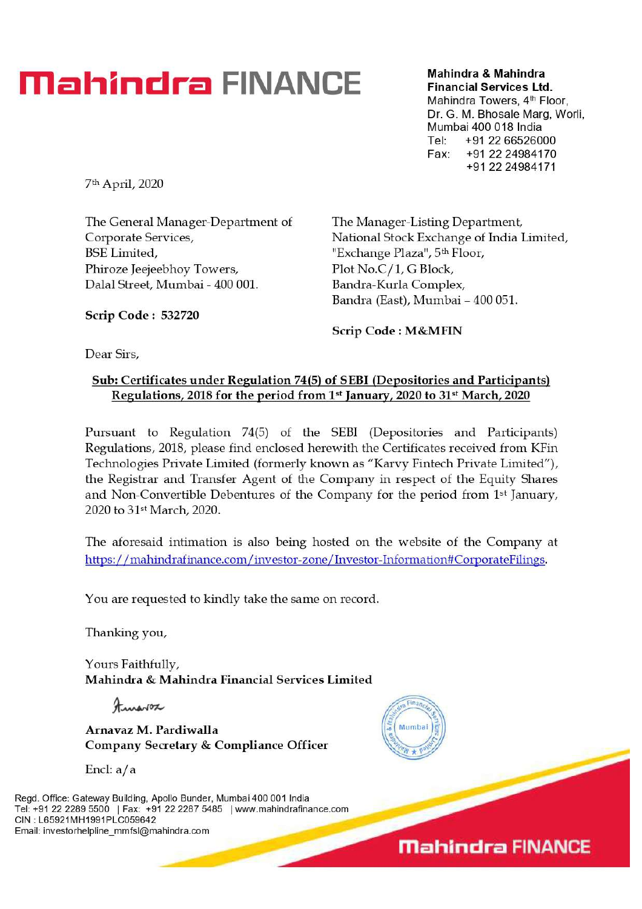## **Mahindra FINANCE Mahindra & Mahindra**

**Financial Services Ltd.**  Mahindra Towers, 4<sup>th</sup> Floor,

Dr. G. M. Bhosale Marg, Worli. Mumbai 400 018 India Tel: +91 22 66526000 Fax: +91 22 24984170 +91 22 24984171

7th April, 2020

The General Manager-Department of Corporate Services, BSE Limited, Phiroze Jeejeebhoy Towers, Dalai Street, Mumbai - 400 001.

The Manager-Listing Department National Stock Exchange of India Limited, "Exchange Plaza", 5<sup>th</sup> Floor, Plot No.C/1, G Block, Bandra-Kurla Complex, Bandra (East), Mumbai - 400 051.

**Scrip Code : 532720** 

**Scrip Code : M&MFIN** 

Dear Sirs,

## **Sub: Certificates under Regulation 74(5) of SEMI (Depositories and Participants)**  Regulations, 2018 for the period from 1<sup>st</sup> January, 2020 to 31<sup>st</sup> March, 2020

Pursuant to Regulation 74(5) of the SEBI (Depositories and Participants) Regulations, 2018, please find enclosed herewith the Certificates received from KFin Technologies Private Limited (formerly known as "Karvy Fintech Private Limited"), the Registrar and Transfer Agent of the Company in respect of the Equity Shares and Non-Convertible Debentures of the Company for the period from  $1<sup>st</sup>$  January, 2020 to 31st March, 2020.

The aforesaid intimation is also being hosted on the website of the Company at https://mahindrafinance.com/investor-zone/Investor-Information#CorporateFilings.

You are requested to kindly take the same on record.

Thanking you,

Yours Faithfully, **Mahindra & Mahindra Financial Services Limited** 

Francosco

**Arnavaz M. Pardiwalla Company Secretary & Compliance** Officer

Encl:  $a/a$ 

Regd. Office: Gateway Building, Apollo Bunder, Mumbai 400 001 India Tel: +91 22 2289 5500 | Fax: +91 22 2287 5485 | www.mahindrafinance.com CIN : L65921MH1991PLC059642 Email: investorhelpline\_mmfsl@mahindra.com



**Mahindra FINANCE**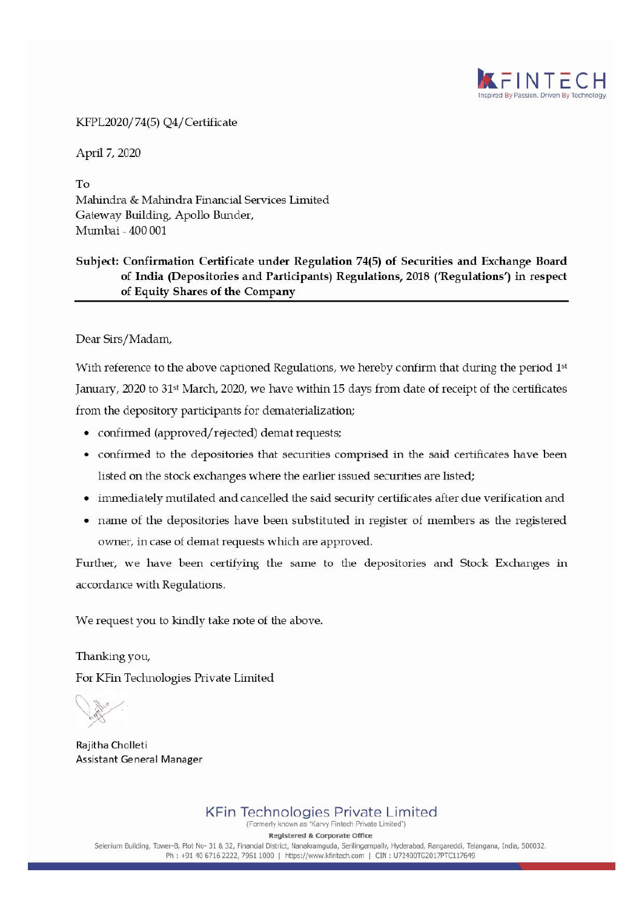

KFPL2020/74(5) Q4/ Certificate

ApiiI 7, 2020

To Mahindra & Mahindra Financial Services Limited Gateway Building, Apollo Bunder, Mumbai - 400 001

## **Subject: Confirmation Certificate under Regulation 74(5) of Securities and Exchange Board of India (Depositories and Participants) Regulations, 2018 ('Regulations') in respect of Equity Shares of the Company**

**Dear Sirs/Madam,** 

With reference to the above captioned Regulations, we hereby confirm that during the period 1st January, 2020 to 31<sup>st</sup> March, 2020, we have within 15 days from date of receipt of the certificates from the depository participants for dematerialization;

- confirmed (approved/rejected) demat requests;
- confirmed to the depositories that securities comprised in the said certificates have been listed on the stock exchanges where the earlier issued securities are listed;
- immediately mutilated and cancelled the said security certificates after due verification and
- name of the depositories have been substituted in register of members as the registered owner, in case of demat requests which are approved.

Further, we have been certifying the same to the depositories and Stock Exchanges in accordance with Regulations.

We request you to kindly take note of the above.

Thanking you, For KFin Technologies Private Limited

Rajitha Cholleti Assistant General Manager

KFin Technologies Private Limited (Formerly known as "Karvy Fintech Private Limited")

**Registered & Corporate Office** 

Selenium Building, Tower-B, Plot No- 31 & 32, Flnandal District, Nanakramguda, Serilingampally, Hyderabad, Rangareddi, Telangana, India, 500032. Ph : +91 40 6716 2222, 7961 1000 | https://www.kfintech.com | CIN : U72400TG2017PTC117649